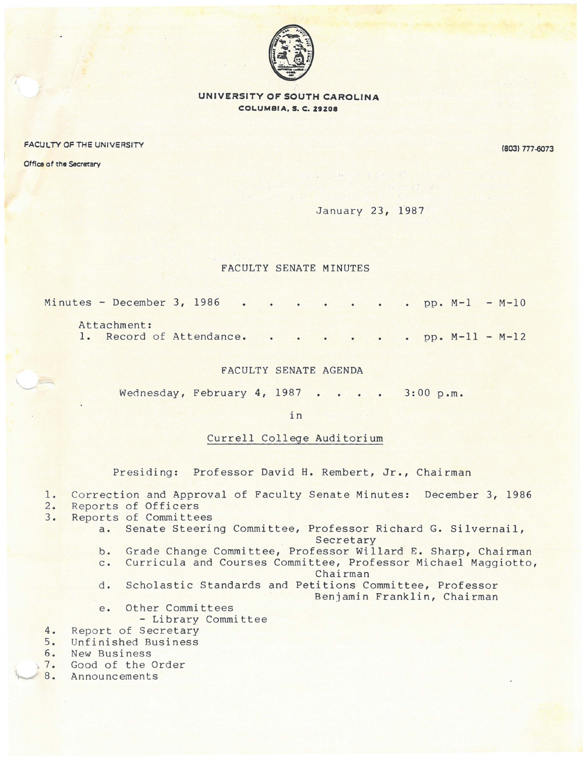

**UNIVERSITY OF SOUTH CAROLINA COLUMBIA, S. C. 29208** 

FACULTY OF THE UNIVERSITY

18031 *n1.0013* 

Office of the Secretary

January 23, 1987

## FACULTY SENATE MINUTES

| Minutes - December 3, 1986 |             |  |  |  |  |  |  |  |
|----------------------------|-------------|--|--|--|--|--|--|--|
|                            | Attachment: |  |  |  |  |  |  |  |

1. Record of Attendance. . . . . . . pp. M-11 - M-12

## FACULTY SENATE AGENDA

Wednesday, February 4, 1987 . . . . 3:00 p.m.

in

## Currell College Auditorium

Presiding: Professor David H. Rembert, Jr., Chairman

## 1. Correction and Approval of Faculty Senate Minutes: December 3, 1986<br>2. Reports of Officers

- 
- 2. Reports of Officers<br>3. Reports of Committee Reports of Committees
	- a. Senate Steering Committee, Professor Richard G. Silvernail, Secretary
	- b. Grade Change Committee, Professor Willard E. Sharp, Chairman
	- c. Curricula and Courses Committee, Professor Michael Maggiotto,

Chairman

- d. Scholastic Standards and Petitions Committee, Professor Benjamin Franklin, Chairman
- e. Other Committees
	- Library Committee
- 4. Report of Secretary<br>5. Unfinished Business
- 5. Unfinished Business<br>6. New Business
- 6. New Business<br>7. Good of the 0
- 7. Good of the Order<br>8. Announcements
- **Announcements**